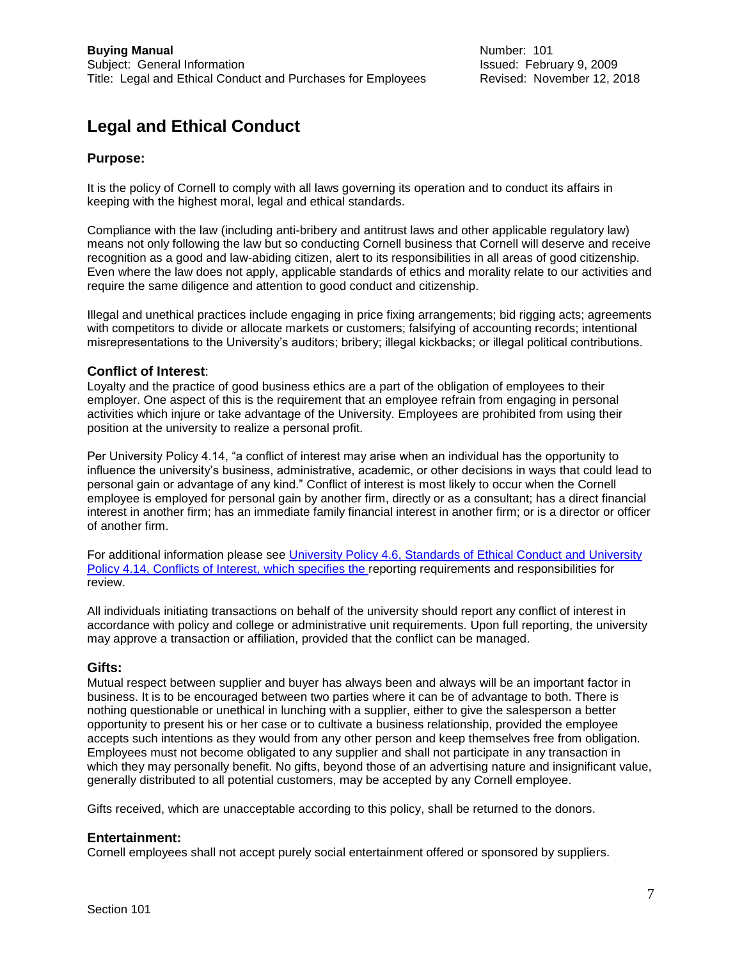# **Legal and Ethical Conduct**

## **Purpose:**

It is the policy of Cornell to comply with all laws governing its operation and to conduct its affairs in keeping with the highest moral, legal and ethical standards.

Compliance with the law (including anti-bribery and antitrust laws and other applicable regulatory law) means not only following the law but so conducting Cornell business that Cornell will deserve and receive recognition as a good and law-abiding citizen, alert to its responsibilities in all areas of good citizenship. Even where the law does not apply, applicable standards of ethics and morality relate to our activities and require the same diligence and attention to good conduct and citizenship.

Illegal and unethical practices include engaging in price fixing arrangements; bid rigging acts; agreements with competitors to divide or allocate markets or customers; falsifying of accounting records; intentional misrepresentations to the University's auditors; bribery; illegal kickbacks; or illegal political contributions.

### **Conflict of Interest**:

Loyalty and the practice of good business ethics are a part of the obligation of employees to their employer. One aspect of this is the requirement that an employee refrain from engaging in personal activities which injure or take advantage of the University. Employees are prohibited from using their position at the university to realize a personal profit.

Per University Policy 4.14, "a conflict of interest may arise when an individual has the opportunity to influence the university's business, administrative, academic, or other decisions in ways that could lead to personal gain or advantage of any kind." Conflict of interest is most likely to occur when the Cornell employee is employed for personal gain by another firm, directly or as a consultant; has a direct financial interest in another firm; has an immediate family financial interest in another firm; or is a director or officer of another firm.

For additional information please see [University Policy 4.6, Standards of Ethical Conduct](https://www.dfa.cornell.edu/sites/default/files/policy/vol4_6.pdf) and [University](https://www.dfa.cornell.edu/sites/default/files/policy/vol4_14.pdf)  [Policy 4.14, Conflicts of Interest,](https://www.dfa.cornell.edu/sites/default/files/policy/vol4_14.pdf) which specifies the reporting requirements and responsibilities for review.

All individuals initiating transactions on behalf of the university should report any conflict of interest in accordance with policy and college or administrative unit requirements. Upon full reporting, the university may approve a transaction or affiliation, provided that the conflict can be managed.

### **Gifts:**

Mutual respect between supplier and buyer has always been and always will be an important factor in business. It is to be encouraged between two parties where it can be of advantage to both. There is nothing questionable or unethical in lunching with a supplier, either to give the salesperson a better opportunity to present his or her case or to cultivate a business relationship, provided the employee accepts such intentions as they would from any other person and keep themselves free from obligation. Employees must not become obligated to any supplier and shall not participate in any transaction in which they may personally benefit. No gifts, beyond those of an advertising nature and insignificant value, generally distributed to all potential customers, may be accepted by any Cornell employee.

Gifts received, which are unacceptable according to this policy, shall be returned to the donors.

#### **Entertainment:**

Cornell employees shall not accept purely social entertainment offered or sponsored by suppliers.